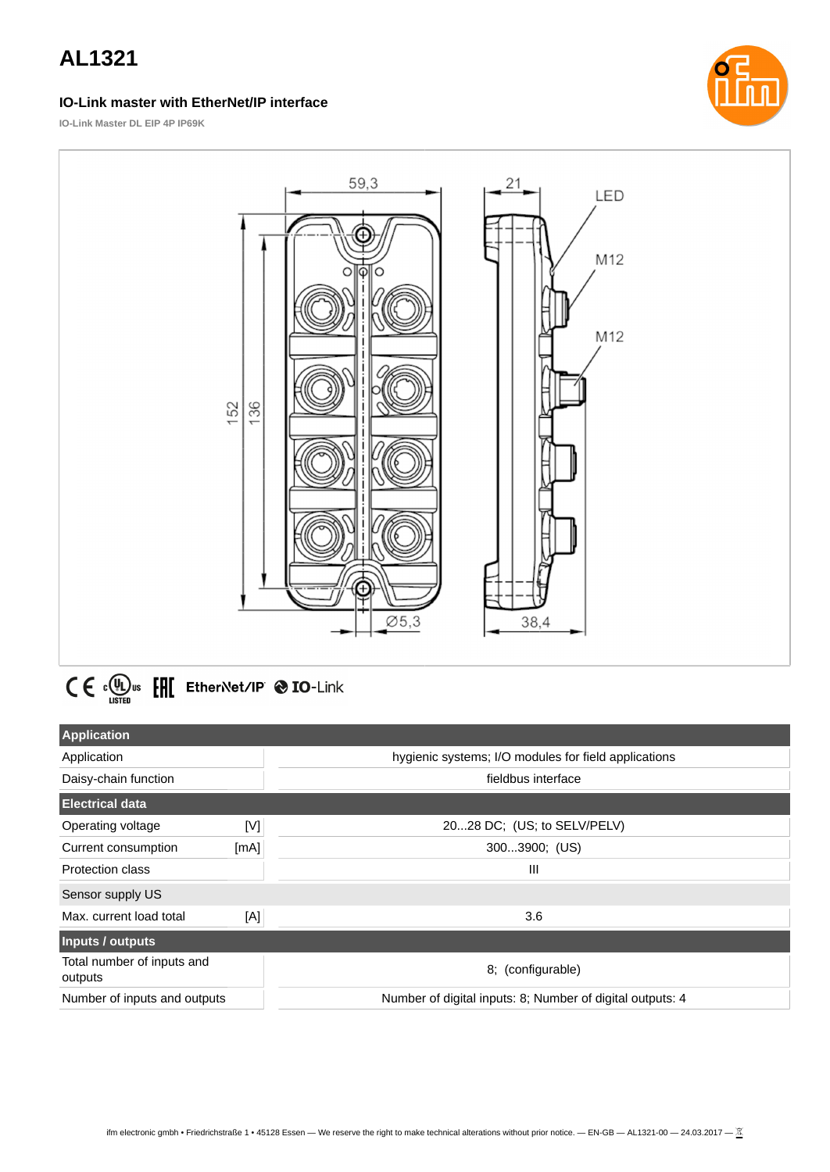## **IO-Link master with EtherNet/IP interface**



**IO-Link Master DL EIP 4P IP69K**



 $C \in \Omega_{\text{LSTED}}^{(n)}$  or  $E$   $E$  Ether Net/IP  $\otimes$  IO-Link

| <b>Application</b>                    |      |                                                           |  |
|---------------------------------------|------|-----------------------------------------------------------|--|
| Application                           |      | hygienic systems; I/O modules for field applications      |  |
| Daisy-chain function                  |      | fieldbus interface                                        |  |
| <b>Electrical data</b>                |      |                                                           |  |
| Operating voltage                     | M    | 2028 DC; (US; to SELV/PELV)                               |  |
| Current consumption                   | [mA] | 3003900; (US)                                             |  |
| Protection class                      |      | Ш                                                         |  |
| Sensor supply US                      |      |                                                           |  |
| Max. current load total               | [A]  | 3.6                                                       |  |
| Inputs / outputs                      |      |                                                           |  |
| Total number of inputs and<br>outputs |      | 8; (configurable)                                         |  |
| Number of inputs and outputs          |      | Number of digital inputs: 8; Number of digital outputs: 4 |  |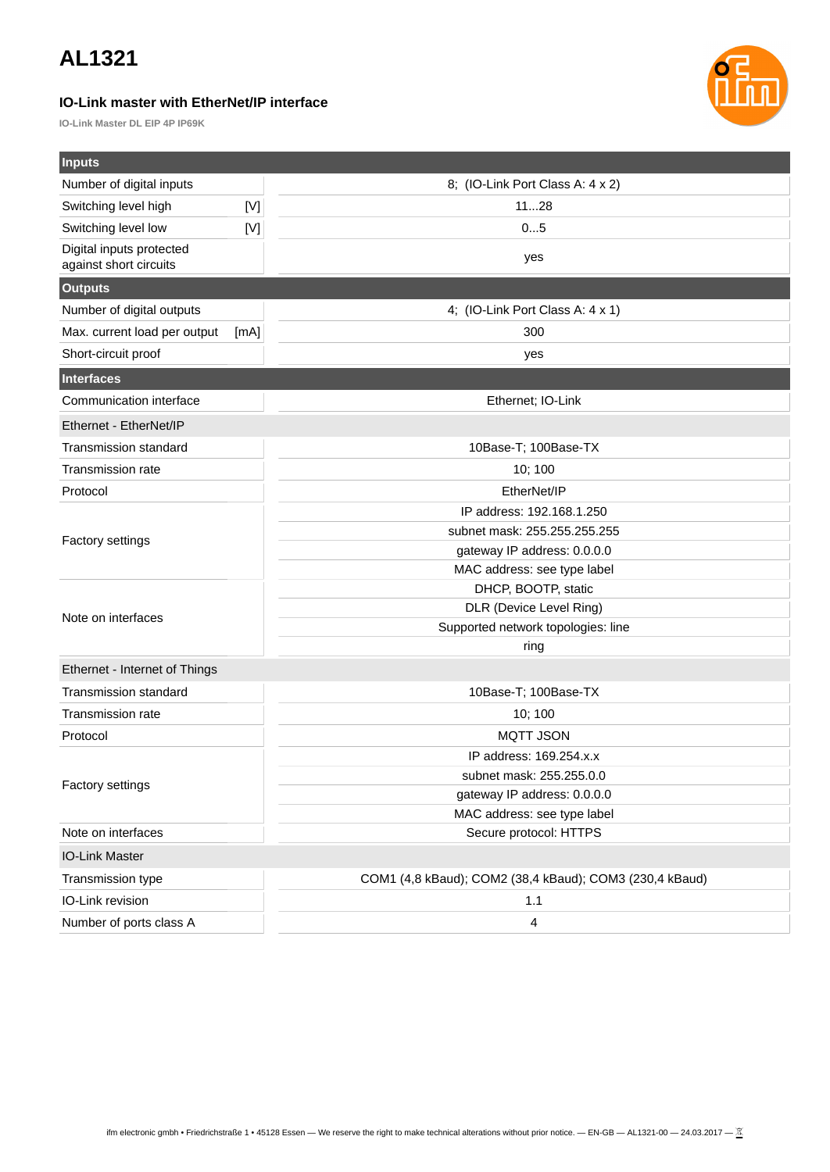## **IO-Link master with EtherNet/IP interface**

**IO-Link Master DL EIP 4P IP69K**



| <b>Inputs</b>                                      |             |                                                         |  |  |
|----------------------------------------------------|-------------|---------------------------------------------------------|--|--|
| Number of digital inputs                           |             | 8; (IO-Link Port Class A: 4 x 2)                        |  |  |
| Switching level high                               | $[{\sf M}]$ | 1128                                                    |  |  |
| Switching level low                                | $[{\sf V}]$ | 05                                                      |  |  |
| Digital inputs protected<br>against short circuits | yes         |                                                         |  |  |
| <b>Outputs</b>                                     |             |                                                         |  |  |
| Number of digital outputs                          |             | 4; (IO-Link Port Class A: 4 x 1)                        |  |  |
| Max. current load per output                       | [mA]        | 300                                                     |  |  |
| Short-circuit proof                                |             | yes                                                     |  |  |
| <b>Interfaces</b>                                  |             |                                                         |  |  |
| Communication interface                            |             | Ethernet; IO-Link                                       |  |  |
| Ethernet - EtherNet/IP                             |             |                                                         |  |  |
| Transmission standard                              |             | 10Base-T; 100Base-TX                                    |  |  |
| <b>Transmission rate</b>                           | 10; 100     |                                                         |  |  |
| Protocol                                           |             | EtherNet/IP                                             |  |  |
| <b>Factory settings</b>                            |             | IP address: 192.168.1.250                               |  |  |
|                                                    |             | subnet mask: 255.255.255.255                            |  |  |
|                                                    |             | gateway IP address: 0.0.0.0                             |  |  |
|                                                    |             | MAC address: see type label                             |  |  |
|                                                    |             | DHCP, BOOTP, static                                     |  |  |
| Note on interfaces                                 |             | DLR (Device Level Ring)                                 |  |  |
|                                                    |             | Supported network topologies: line                      |  |  |
|                                                    |             | ring                                                    |  |  |
| Ethernet - Internet of Things                      |             |                                                         |  |  |
| <b>Transmission standard</b>                       |             | 10Base-T; 100Base-TX                                    |  |  |
| Transmission rate                                  |             | 10; 100                                                 |  |  |
| Protocol                                           |             | <b>MQTT JSON</b>                                        |  |  |
| Factory settings                                   |             | IP address: 169.254.x.x                                 |  |  |
|                                                    |             | subnet mask: 255.255.0.0                                |  |  |
|                                                    |             | gateway IP address: 0.0.0.0                             |  |  |
|                                                    |             | MAC address: see type label                             |  |  |
| Note on interfaces                                 |             | Secure protocol: HTTPS                                  |  |  |
| IO-Link Master                                     |             |                                                         |  |  |
| Transmission type                                  |             | COM1 (4,8 kBaud); COM2 (38,4 kBaud); COM3 (230,4 kBaud) |  |  |
| IO-Link revision                                   |             | 1.1                                                     |  |  |
| Number of ports class A                            |             | $\pmb{4}$                                               |  |  |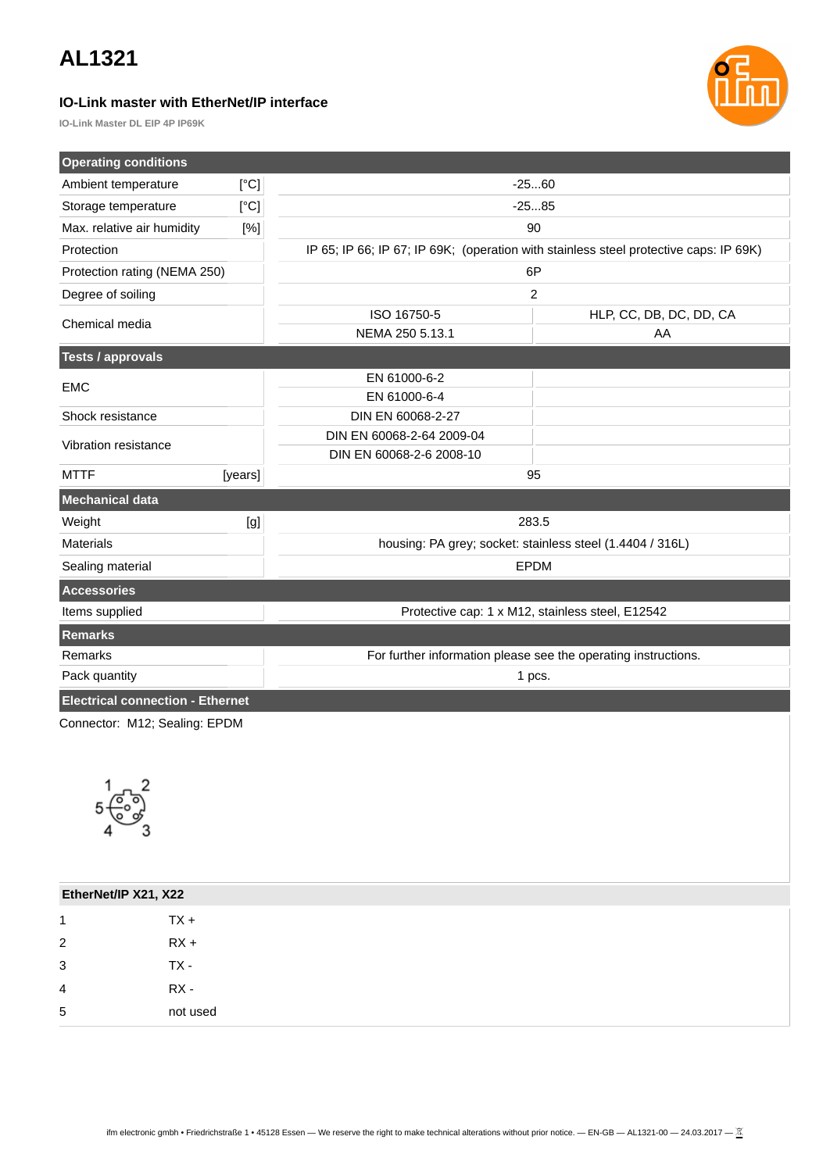## **IO-Link master with EtherNet/IP interface**



**IO-Link Master DL EIP 4P IP69K**

| <b>Operating conditions</b>                                                                                                                                                                                                                     |                                                                |                                                                                       |                         |  |
|-------------------------------------------------------------------------------------------------------------------------------------------------------------------------------------------------------------------------------------------------|----------------------------------------------------------------|---------------------------------------------------------------------------------------|-------------------------|--|
| Ambient temperature                                                                                                                                                                                                                             | [°C]                                                           | $-2560$                                                                               |                         |  |
| Storage temperature                                                                                                                                                                                                                             | [°C]                                                           | $-2585$                                                                               |                         |  |
| Max. relative air humidity                                                                                                                                                                                                                      | [%]                                                            | 90                                                                                    |                         |  |
| Protection                                                                                                                                                                                                                                      |                                                                | IP 65; IP 66; IP 67; IP 69K; (operation with stainless steel protective caps: IP 69K) |                         |  |
| Protection rating (NEMA 250)                                                                                                                                                                                                                    |                                                                | 6P                                                                                    |                         |  |
| Degree of soiling                                                                                                                                                                                                                               |                                                                | $\overline{c}$                                                                        |                         |  |
| Chemical media                                                                                                                                                                                                                                  |                                                                | ISO 16750-5                                                                           | HLP, CC, DB, DC, DD, CA |  |
|                                                                                                                                                                                                                                                 |                                                                | NEMA 250 5.13.1                                                                       | AA                      |  |
| <b>Tests / approvals</b>                                                                                                                                                                                                                        |                                                                |                                                                                       |                         |  |
| <b>EMC</b>                                                                                                                                                                                                                                      |                                                                | EN 61000-6-2                                                                          |                         |  |
|                                                                                                                                                                                                                                                 |                                                                | EN 61000-6-4                                                                          |                         |  |
| Shock resistance                                                                                                                                                                                                                                |                                                                | DIN EN 60068-2-27                                                                     |                         |  |
| Vibration resistance                                                                                                                                                                                                                            |                                                                | DIN EN 60068-2-64 2009-04                                                             |                         |  |
|                                                                                                                                                                                                                                                 |                                                                | DIN EN 60068-2-6 2008-10                                                              |                         |  |
| <b>MTTF</b>                                                                                                                                                                                                                                     | [years]                                                        | 95                                                                                    |                         |  |
| <b>Mechanical data</b>                                                                                                                                                                                                                          |                                                                |                                                                                       |                         |  |
| Weight                                                                                                                                                                                                                                          | 283.5<br>[g]                                                   |                                                                                       |                         |  |
| housing: PA grey; socket: stainless steel (1.4404 / 316L)<br><b>Materials</b>                                                                                                                                                                   |                                                                |                                                                                       |                         |  |
| <b>EPDM</b><br>Sealing material                                                                                                                                                                                                                 |                                                                |                                                                                       |                         |  |
| <b>Accessories</b>                                                                                                                                                                                                                              |                                                                |                                                                                       |                         |  |
| Items supplied<br>Protective cap: 1 x M12, stainless steel, E12542                                                                                                                                                                              |                                                                |                                                                                       |                         |  |
| <b>Remarks</b>                                                                                                                                                                                                                                  |                                                                |                                                                                       |                         |  |
| Remarks                                                                                                                                                                                                                                         | For further information please see the operating instructions. |                                                                                       |                         |  |
| Pack quantity                                                                                                                                                                                                                                   |                                                                | 1 pcs.                                                                                |                         |  |
| <b>Electrical connection - Ethernet</b>                                                                                                                                                                                                         |                                                                |                                                                                       |                         |  |
| $Q_{2}$ and $Q_{2}$ and $Q_{3}$ and $Q_{4}$ and $Q_{5}$ and $Q_{6}$ and $Q_{7}$ and $Q_{8}$ and $Q_{9}$ and $Q_{9}$ and $Q_{9}$ and $Q_{9}$ and $Q_{9}$ and $Q_{9}$ and $Q_{9}$ and $Q_{9}$ and $Q_{9}$ and $Q_{9}$ and $Q_{9}$ and $Q_{9}$ and |                                                                |                                                                                       |                         |  |

Connector: M12; Sealing: EPDM



| EtherNet/IP X21, X22 |          |
|----------------------|----------|
| 1                    | $TX +$   |
| $\overline{2}$       | $RX +$   |
| 3                    | TX -     |
| 4                    | RX -     |
| 5                    | not used |